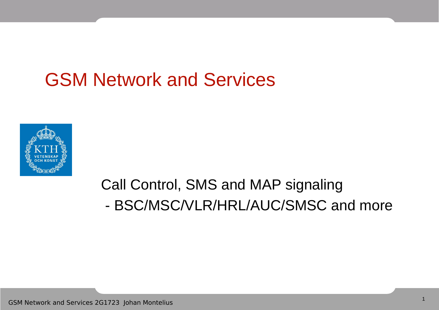### GSM Network and Services



#### Call Control, SMS and MAP signaling - BSC/MSC/VLR/HRL/AUC/SMSC and more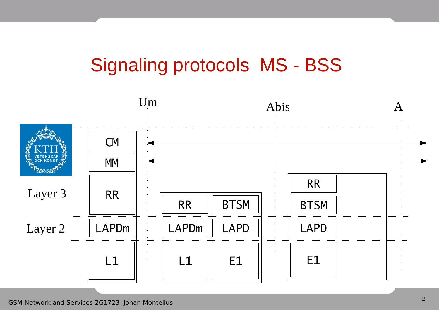## Signaling protocols MS - BSS

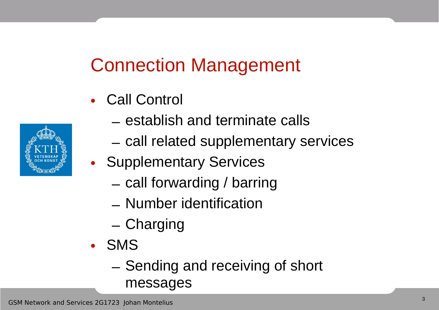## Connection Management

- Call Control
- 
- establish and terminate calls
- call related supplementary services
- Supplementary Services
	- call forwarding / barring
	- Number identification
	- Charging
- SMS
	- Sending and receiving of short messages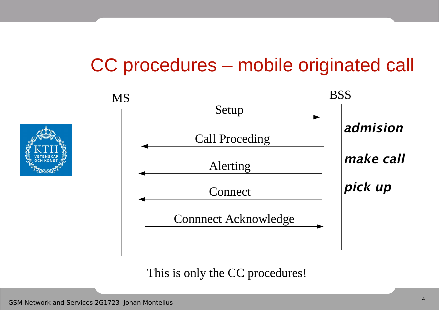### CC procedures – mobile originated call



This is only the CC procedures!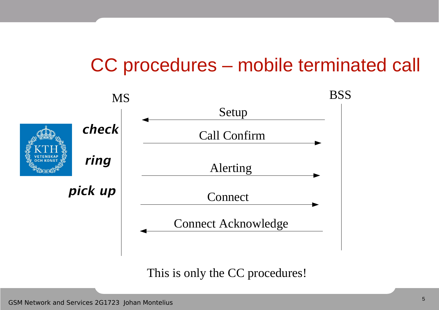### CC procedures – mobile terminated call



This is only the CC procedures!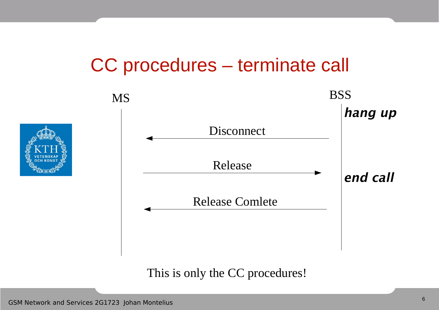#### CC procedures – terminate call



This is only the CC procedures!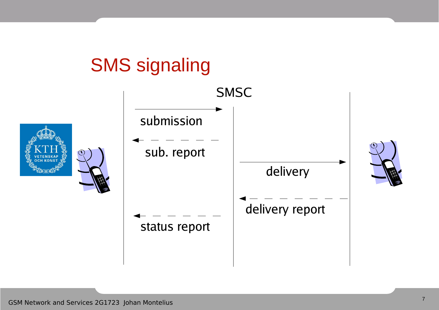## **SMS** signaling

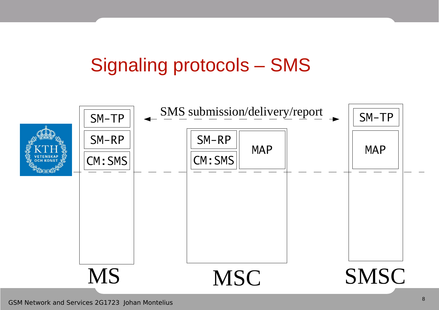## Signaling protocols – SMS

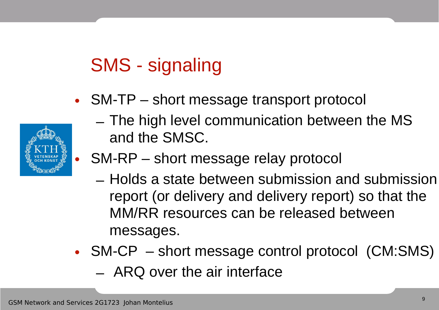# SMS - signaling

• SM-TP – short message transport protocol



- The high level communication between the MS and the SMSC.
- SM-RP short message relay protocol
	- Holds a state between submission and submission report (or delivery and delivery report) so that the MM/RR resources can be released between messages.
- SM-CP short message control protocol (CM:SMS) – ARQ over the air interface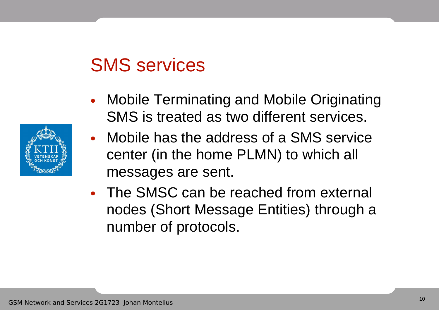### SMS services

- Mobile Terminating and Mobile Originating SMS is treated as two different services.
- Mobile has the address of a SMS service center (in the home PLMN) to which all messages are sent.
- The SMSC can be reached from external nodes (Short Message Entities) through a number of protocols.

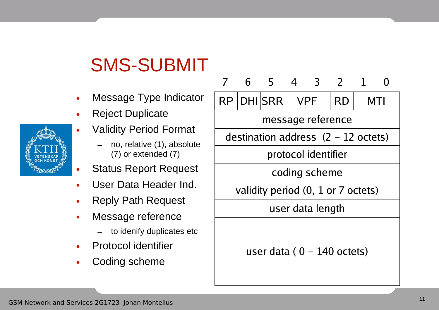## SMS-SUBMIT

- Message Type Indicator
- **Reject Duplicate** 
	- Validity Period Format
		- no, relative (1), absolute (7) or extended (7)
- Status Report Request
- User Data Header Ind.
- Reply Path Request
- Message reference
	- to idenify duplicates etc
- Protocol identifier
- Coding scheme



user data ( $0 - 140$  octets)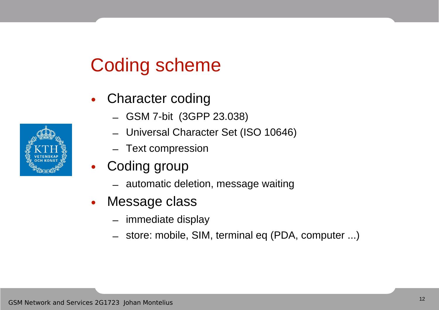### Coding scheme

- Character coding
	- GSM 7-bit (3GPP 23.038)
	- Universal Character Set (ISO 10646)
	- Text compression
- Coding group
	- automatic deletion, message waiting
- Message class
	- immediate display
	- store: mobile, SIM, terminal eq (PDA, computer ...)

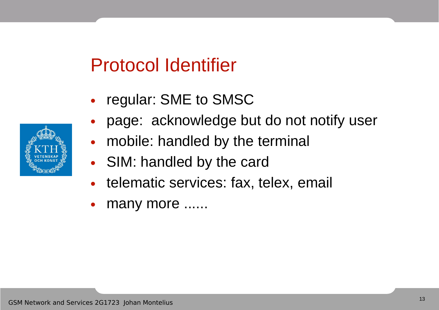## Protocol Identifier

- regular: SME to SMSC
- page: acknowledge but do not notify user
- mobile: handled by the terminal
- SIM: handled by the card
- telematic services: fax, telex, email
- many more ......

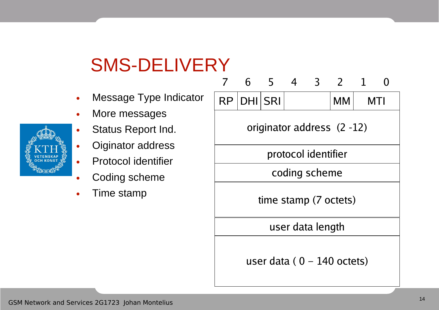## SMS-DELIVERY

- Message Type Indicato
- More messages
- Status Report Ind.
- Oiginator address
- Protocol identifier
- Coding scheme
- Time stamp

|   | 7                             | 6 5        |  | $\overline{4}$ | $\overline{3}$ | 2   | $\mathbf{1}$ |  |
|---|-------------------------------|------------|--|----------------|----------------|-----|--------------|--|
| r |                               | RP DHI SRI |  |                |                | MM. | MTI          |  |
|   | originator address (2-12)     |            |  |                |                |     |              |  |
|   | protocol identifier           |            |  |                |                |     |              |  |
|   | coding scheme                 |            |  |                |                |     |              |  |
|   | time stamp (7 octets)         |            |  |                |                |     |              |  |
|   | user data length              |            |  |                |                |     |              |  |
|   | user data ( $0 - 140$ octets) |            |  |                |                |     |              |  |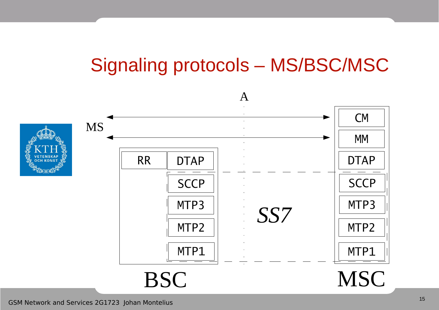## Signaling protocols – MS/BSC/MSC

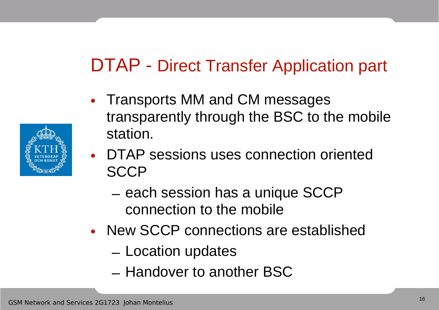### DTAP - Direct Transfer Application part

- Transports MM and CM messages transparently through the BSC to the mobile station.
- DTAP sessions uses connection oriented **SCCP** 
	- each session has a unique SCCP connection to the mobile
- New SCCP connections are established
	- Location updates
	- Handover to another BSC

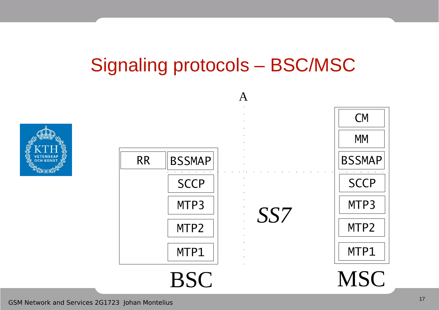## Signaling protocols – BSC/MSC



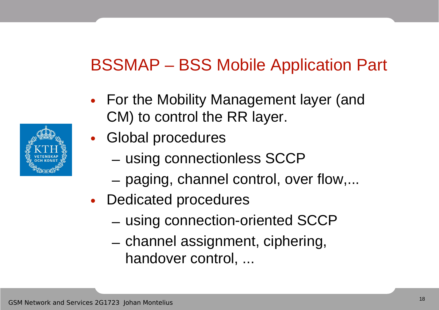#### BSSMAP – BSS Mobile Application Part

- For the Mobility Management layer (and CM) to control the RR layer.
- Global procedures
	- using connectionless SCCP
	- paging, channel control, over flow,...
- Dedicated procedures
	- using connection-oriented SCCP
	- channel assignment, ciphering, handover control, ...

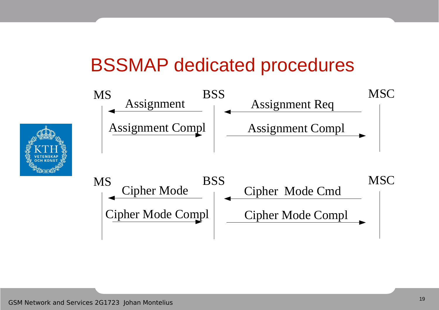#### BSSMAP dedicated procedures

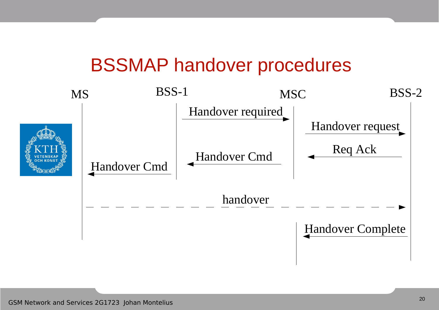#### BSSMAP handover procedures

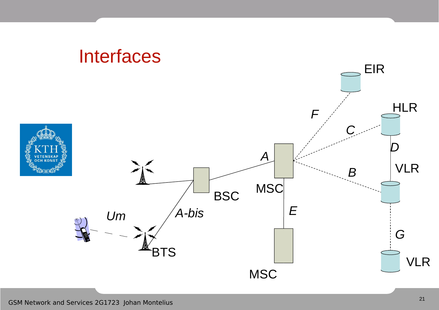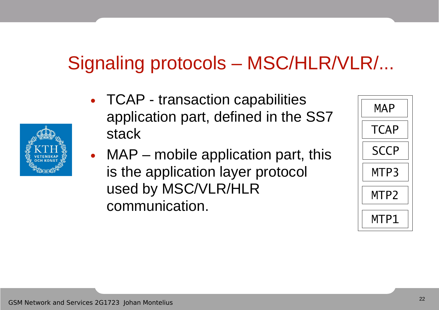## Signaling protocols – MSC/HLR/VLR/...

- TCAP transaction capabilities application part, defined in the SS7 stack
- MAP mobile application part, this is the application layer protocol used by MSC/VLR/HLR communication.



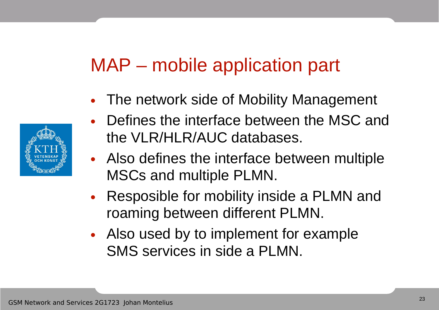## MAP – mobile application part

• The network side of Mobility Management



- Also defines the interface between multiple MSCs and multiple PLMN.
- Resposible for mobility inside a PLMN and roaming between different PLMN.
- Also used by to implement for example SMS services in side a PLMN.

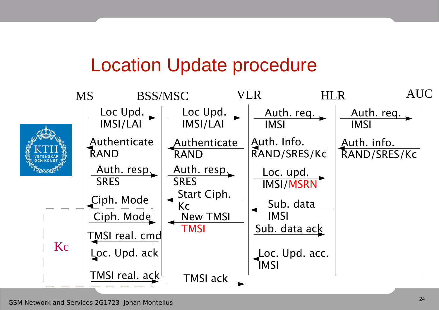#### Location Update procedure

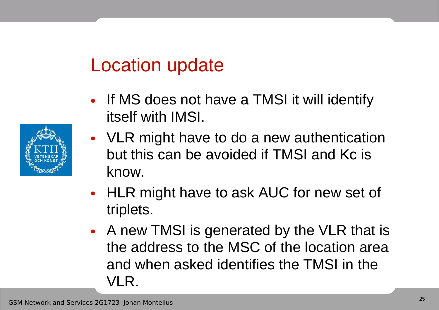### Location update

- If MS does not have a TMSI it will identify itself with IMSI.
- VLR might have to do a new authentication but this can be avoided if TMSI and Kc is know.
- HLR might have to ask AUC for new set of triplets.
- A new TMSI is generated by the VLR that is the address to the MSC of the location area and when asked identifies the TMSI in the VLR.

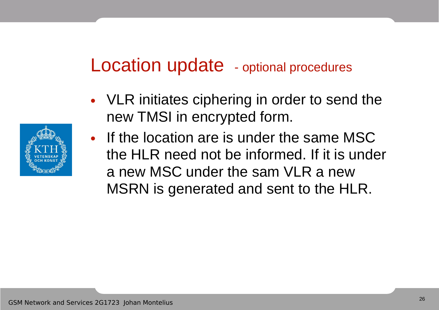#### Location update - optional procedures

- VLR initiates ciphering in order to send the new TMSI in encrypted form.
- If the location are is under the same MSC the HLR need not be informed. If it is under a new MSC under the sam VLR a new MSRN is generated and sent to the HLR.

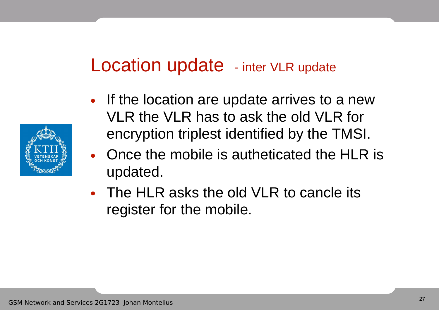#### Location update - inter VLR update

- If the location are update arrives to a new VLR the VLR has to ask the old VLR for encryption triplest identified by the TMSI.
- Once the mobile is autheticated the HLR is updated.
- The HLR asks the old VLR to cancle its register for the mobile.

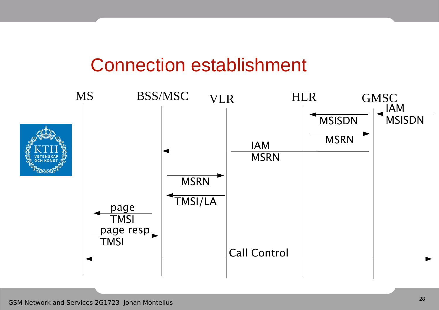#### Connection establishment

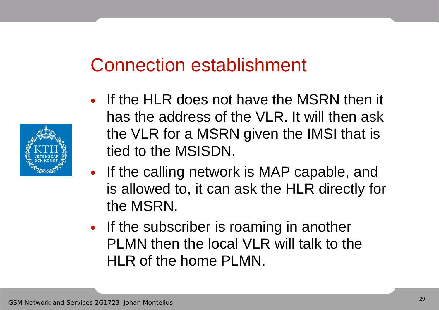### Connection establishment

- If the HLR does not have the MSRN then it has the address of the VLR. It will then ask the VLR for a MSRN given the IMSI that is tied to the MSISDN.
- If the calling network is MAP capable, and is allowed to, it can ask the HLR directly for the MSRN.
- If the subscriber is roaming in another PLMN then the local VLR will talk to the HLR of the home PLMN.

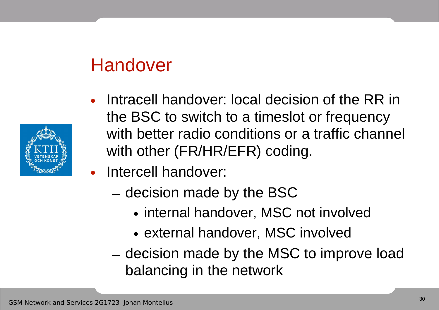### Handover

- 
- Intracell handover: local decision of the RR in the BSC to switch to a timeslot or frequency with better radio conditions or a traffic channel with other (FR/HR/EFR) coding.
- Intercell handover:
	- decision made by the BSC
		- internal handover, MSC not involved
		- external handover, MSC involved
	- decision made by the MSC to improve load balancing in the network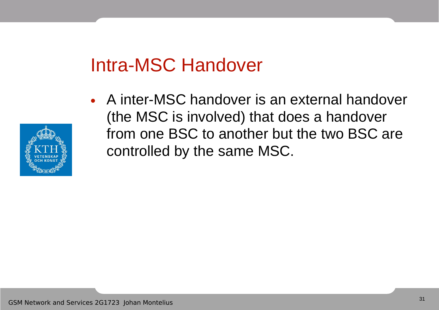## Intra-MSC Handover

• A inter-MSC handover is an external handover (the MSC is involved) that does a handover from one BSC to another but the two BSC are controlled by the same MSC.

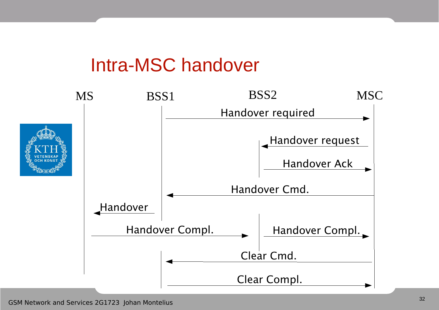#### Intra-MSC handover